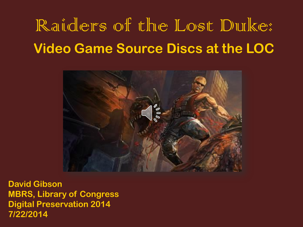# Raiders of the Lost Duke: **Video Game Source Discs at the LOC**



**David Gibson MBRS, Library of Congress Digital Preservation 2014 7/22/2014**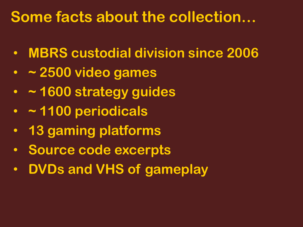## **Some facts about the collection…**

- **MBRS custodial division since 2006**
- **~ 2500 video games**
- **~ 1600 strategy guides**
- **~ 1100 periodicals**
- **13 gaming platforms**
- **Source code excerpts**
- **DVDs and VHS of gameplay**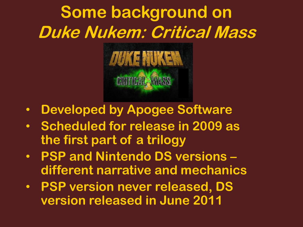# **Some background on Duke Nukem: Critical Mass**



- **Developed by Apogee Software**
- **Scheduled for release in 2009 as the first part of a trilogy**
- **PSP and Nintendo DS versions – different narrative and mechanics**
- **PSP version never released, DS version released in June 2011**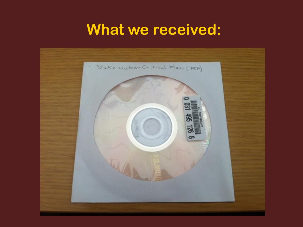## **What we received:**

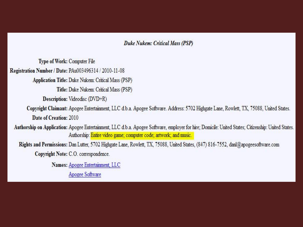#### Duke Nukem: Critical Mass (PSP)

**Type of Work: Computer File** Registration Number / Date: PAu003496314 / 2010-11-08 Application Title: Duke Nukem: Critical Mass (PSP) Title: Duke Nukem: Critical Mass (PSP) Description: Videodisc (DVD+R) Copyright Claimant: Apogee Entertainment, LLC d.b.a. Apogee Software. Address: 5702 Highgate Lane, Rowlett, TX, 75088, United States. Date of Creation: 2010 Authorship on Application: Apogee Entertainment, LLC d.b.a. Apogee Software, employer for hire; Domicile: United States; Citizenship: United States. Authorship: Entire video game; computer code; artwork; and music. Rights and Permissions: Dan Lutter, 5702 Highgate Lane, Rowlett, TX, 75088, United States, (847) 816-7552, danl@apogeesoftware.com Copyright Note: C.O. correspondence. Names: Apogee Entertainment, LLC

Apogee Software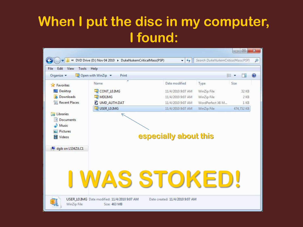### **When I put the disc in my computer, I found:**

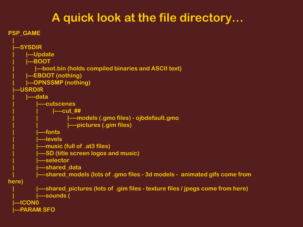#### **A quick look at the file directory…**

```
PSP_GAME
  |
  |---SYSDIR
       | |---Update
       | |---BOOT
           | |---boot.bin (holds compiled binaries and ASCII text)
       | |---EBOOT (nothing)
       | |---OPNSSMP (nothing)
  |---USRDIR
       | |----data
             | |----cutscenes
                  | | |----cut_##
                        | | |----models (.gmo files) - ojbdefault.gmo
                        | | |----pictures (.gim files)
            | |----fonts
            | |----levels
            | |----music (full of .at3 files)
            | |----SD (title screen logos and music)
            | |----selector
            | |----shared_data
           | |----shared_models (lots of .gmo files - 3d models - animated gifs come from 
here)
            | |----shared_pictures (lots of .gim files - texture files / jpegs come from here)
            | |----sounds (
  |---ICON0
  |---PARAM.SFO
```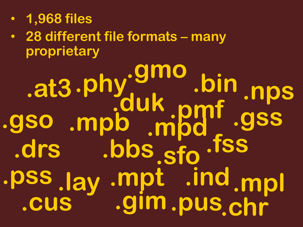- **1,968 files**
- **28 different file formats – many proprietary**

**.at3 .bbs .bin .cus .chr .drs .duk .fss .gim .gmo .gso .gss .lay .ind .mpl .mpt .mpb .mpd .nps .phy .pmf .pss .pus .sfo**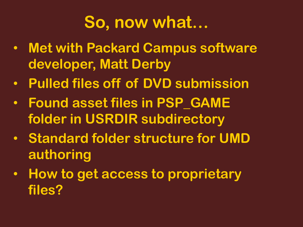# **So, now what…**

- **Met with Packard Campus software developer, Matt Derby**
- **Pulled files off of DVD submission**
- **Found asset files in PSP\_GAME folder in USRDIR subdirectory**
- **Standard folder structure for UMD authoring**
- **How to get access to proprietary files?**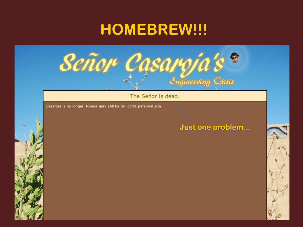## **HOMEBREW!!!**



The Señor is dead.

Casaroja is no longer. Noesis may still be on Rich's personal site.

#### Just one problem...

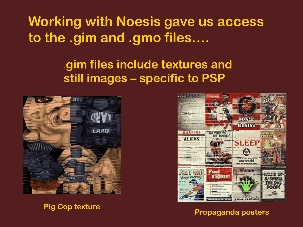**Working with Noesis gave us access to the .gim and .gmo files….**

#### **.gim files include textures and still images – specific to PSP**



**Pig Cop texture**



**Propaganda posters**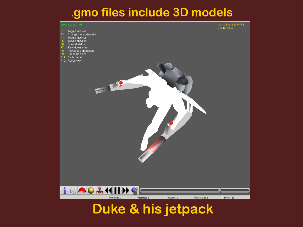#### **.gmo files include 3D models**



#### **Duke & his jetpack**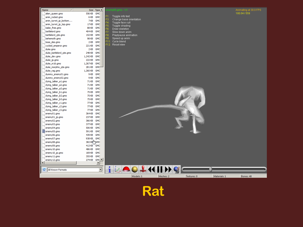

| Name                            | Size Type ▲                    |           | hemy05.gmo - 1/1                   |           |             |              | Animating at 30.0 FPS |
|---------------------------------|--------------------------------|-----------|------------------------------------|-----------|-------------|--------------|-----------------------|
| alien_queen.gmo                 | 556 KB<br><b>GMC</b>           |           |                                    |           |             |              | 180.04 / 559          |
| anim_rocket.gmo                 | 6 KB<br><b>GMC</b>             | F1:       | Toggle info text                   |           |             |              |                       |
| anim_turret_jp_bottom           | 7 <sub>KB</sub><br><b>GMC</b>  | F3:<br>F4 | Change base orientation            |           |             |              |                       |
| anim_turret_jp_top.gmo          | 17 <sub>KB</sub><br><b>GMC</b> | F5        | Toggle face cull<br>Toggle shading |           |             |              |                       |
| babe_free.gmo                   | <b>88 KB</b><br><b>GMC</b>     | F6        | Draw skeleton                      |           |             |              |                       |
| battlelord.gmo                  | 404 KB<br><b>GMC</b>           | F7        | Slow down anim                     |           |             |              |                       |
| battlelord_qte.gmo              | 152 KB<br><b>GMC</b>           | F8:       | Play/pause animation               |           |             |              |                       |
| behemoth.gmo                    | <b>98 KB</b><br><b>GMC</b>     | F9        | Speed up anim                      |           |             |              |                       |
| boss_des.gmo                    | <b>GMC</b><br>2 <sub>KB</sub>  | F11       | Cycle blend                        |           |             |              |                       |
| cycloid_emperor.gmo             | 221 KB<br><b>GMC</b>           | F12:      | Reset view                         |           |             |              |                       |
| duke.gmo                        | <b>GMC</b><br>2KB              |           |                                    |           |             |              |                       |
| duke_battlelord_gte.gmo         | 248 KB<br><b>GMC</b>           |           |                                    |           |             |              |                       |
| duke_dev.gmo                    | 1,242 KB<br><b>GMC</b>         |           |                                    |           |             |              |                       |
| duke_jp.gmo                     | 222 KB<br><b>GMC</b>           |           |                                    |           |             |              |                       |
| duke_m16.gmo                    | 1,267KB<br><b>GMC</b>          |           |                                    |           |             |              |                       |
| duke_morphix_qte.gmo            | 281 KB<br>GMC-                 |           |                                    |           |             |              |                       |
| duke_rag.gmo                    | 1,260 KB<br><b>GMC</b>         |           |                                    |           |             |              |                       |
| dummy_enemy01.gmo               | 9 KB<br><b>GMC</b>             |           |                                    |           |             |              |                       |
| dummy_enemy02.gmo               | <b>GMC</b><br>9 KB             |           |                                    |           |             |              |                       |
| dying_talker_a1.gmo             | <b>71 KB</b><br><b>GMC</b>     |           |                                    |           |             |              |                       |
| dying_talker_a2.gmo             | 71 KB<br><b>GMC</b>            |           |                                    |           |             |              |                       |
| dying_talker_a3.gmo             | 71 KB<br><b>GMC</b>            |           |                                    |           |             |              |                       |
| dying_talker_b1.gmo             | <b>GMC</b><br><b>75 KB</b>     |           |                                    |           |             |              |                       |
| dying_talker_b2.gmo             | <b>75 KB</b><br><b>GMC</b>     |           |                                    |           |             |              |                       |
| dying_talker_b3.gmo             | <b>75 KB</b><br><b>GMC</b>     |           |                                    |           |             |              |                       |
| dying_talker_c1.gmo             | <b>GMC</b><br><b>77 KB</b>     |           |                                    |           |             |              |                       |
| dying_talker_c2.gmo             | 77 KB<br><b>GMC</b>            |           |                                    |           |             |              |                       |
| dying_talker_c3.gmo             | <b>77 KB</b><br><b>GMC</b>     |           |                                    |           |             |              |                       |
| enemy01.gmo                     | 364 KB<br><b>GMC</b>           |           |                                    |           |             |              |                       |
| enemy01_jp.gmo                  | 237 KB<br><b>GMC</b>           |           |                                    |           |             |              |                       |
| enemy02.gmo                     | 366 KB<br><b>GMC</b>           |           |                                    |           |             |              |                       |
| enemy03.gmo                     | 377 KB<br><b>GMC</b>           |           |                                    |           |             |              |                       |
| enemy04.gmo                     | 506 KB<br><b>GMC</b>           |           |                                    |           |             |              |                       |
| enemy05.gmo                     | 591 KB<br><b>GMC</b>           |           |                                    |           |             |              |                       |
| enemy06.gmo                     | <b>GMC</b><br>439 KB           |           |                                    |           |             |              |                       |
| enemy07.gmo                     | 938 KB GMC                     |           |                                    |           |             |              |                       |
| enemy08.gmo                     | 382 KB mySMC                   |           |                                    |           |             |              |                       |
| enemy09.gmo                     | <b>GMC</b><br>413 KB           |           |                                    |           |             |              |                       |
| enemy 10.gmo                    | 486 KB<br><b>GMC</b>           |           |                                    |           |             |              |                       |
|                                 | <b>GMC</b><br>169 KB           |           |                                    |           |             |              |                       |
| enemy 10_jp.gmo<br>enemy 11.gmo | 355 KB<br><b>GMC</b>           |           |                                    |           |             |              |                       |
| enemy 12.gmo                    | 274 KB GMC ▼                   |           |                                    |           |             |              |                       |
| $\left  \cdot \right $          | $\blacktriangleright$          |           |                                    |           |             |              |                       |
|                                 |                                |           |                                    |           |             |              |                       |
| C   All Known Formats           | $\overline{\mathbf{r}}$        |           | <b>EOLHHY</b>                      |           |             |              |                       |
|                                 |                                |           |                                    |           |             |              |                       |
|                                 |                                |           | Models: 1                          | Meshes: 2 | Textures: 0 | Materials: 1 | Bones: 48             |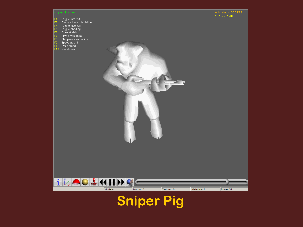

**Sniper Pig**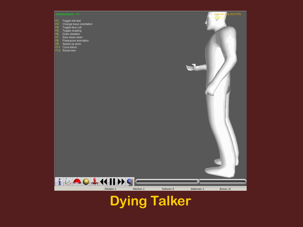#### default.gmo - 1/1

- 
- 
- 
- 
- 
- 
- 
- 
- 
- 



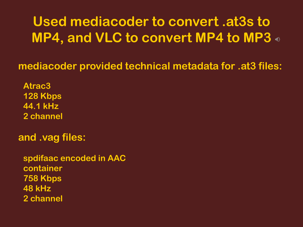#### **Used mediacoder to convert .at3s to MP4, and VLC to convert MP4 to MP3**

**mediacoder provided technical metadata for .at3 files:**

**Atrac3 128 Kbps 44.1 kHz 2 channel**

**and .vag files:**

**spdifaac encoded in AAC container 758 Kbps 48 kHz 2 channel**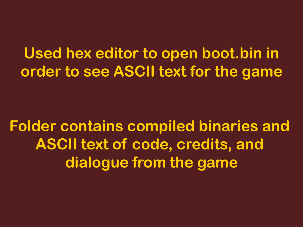**Used hex editor to open boot.bin in order to see ASCII text for the game**

**Folder contains compiled binaries and ASCII text of code, credits, and dialogue from the game**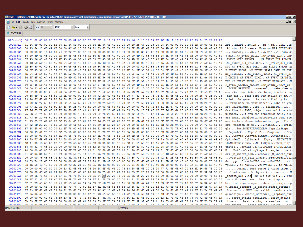Meths - [C:\Users\Matthew Derby\Desktop\Duke Nukem copyright submission\DukeNukemCriticalMass(PSP)\PSP\_GAME\SYSDIR\B00T.BIN]

 $\overline{\phantom{a}}$ 

File Edit Search View Analysis Extras Window ?

| $\Box$ | $\frac{1}{2}$ $\frac{1}{2}$ $\frac{1}{2}$ $\frac{1}{2}$ |  | $-$   ANSI | $ hex$ |
|--------|---------------------------------------------------------|--|------------|--------|
|--------|---------------------------------------------------------|--|------------|--------|

 $\frac{F_0}{40}$  BOOT.BIN

#### Offset(h) 00 01 02 03 04 05 06 07 08 09 0A 0B 0C 0D 0E 0F 10 11 12 13 14 15 16 17 18 19 1A 1B 1C 1D 1E 1F 20 21 22 23 24 25 26 27 28

| 00200B0B 00 25 64 20 6D 69 6E 00 00 4C 41 20 53 74 72 65 65 74 73 00 00 55 6E 6B 6E 6F 77 6E 00 4D 41 50 20 53 45 54 54 49 4E 47 53    |  |  |  |  |  |  |  |           |  |  |  |  |  |  |  |    | 00200AE2 41 44 59 00 00 05 2 45 41 44 59 00 00 00 44 4E 54 43 4D 00 00 00 20 25 64 20 2F 20 25 64 00 00 00 00 00 44 4D 00 00 43 54 42 ADYREADYDNTCM %d / %dDMCTB<br>.%d minLA StreetsUnknown.MAP SETTINGS |
|----------------------------------------------------------------------------------------------------------------------------------------|--|--|--|--|--|--|--|-----------|--|--|--|--|--|--|--|----|-----------------------------------------------------------------------------------------------------------------------------------------------------------------------------------------------------------|
| 00200B34 00 00 00 00 46 61 63 74 6F 72 79 00 32 00 00 00 33 00 00 00 34 00 00 00 35 20 6D 69 6E 00 00 00 31 35 20 6D 69 6E 00 00 32    |  |  |  |  |  |  |  |           |  |  |  |  |  |  |  |    | Factory.2345 min15 min2                                                                                                                                                                                   |
| 00200B5D 35 20 6D 69 6E 00 00 4D 50 5F 45 56 45 4E 54 5F 4E 55 4C 4C 00 00 00 4D 50 5F 45 56 45 4E 54 5F 41 43 4B 00 00 00 00 4D 50    |  |  |  |  |  |  |  |           |  |  |  |  |  |  |  |    | 5 minMP EVENT NULLMP EVENT ACKMP                                                                                                                                                                          |
| 00200B86 5F 45 56 45 4E 54 5F 4E 45 45 44 5F 41 4E 53 57 45 52 00 00 00 00 4D 50 5F 45 56 45 4E 54 5F 48 49 54 5F 50 4C 41 59 45 52    |  |  |  |  |  |  |  |           |  |  |  |  |  |  |  |    | EVENT NEED ANSWERMP EVENT HIT PLAYER                                                                                                                                                                      |
| 00200BAF 00 4D 50 5F 45 56 45 4E 54 5F 48 49 54 5F 54 45 4C 45 50 4F 52 54 00 00 00 4D 50 5F 45 56 45 4E 54 5F 48 49 54 5F 50 49 43    |  |  |  |  |  |  |  |           |  |  |  |  |  |  |  |    | .MP EVENT HIT TELEPORTMP EVENT HIT PIC                                                                                                                                                                    |
| 00200BD8 4B 55 50 00 4D 50 5F 45 56 45 4E 54 5F 48 49 54 5F 44 49 45 44 00 00 00 4D 50 5F 45 56 45 4E 54 5F 53 50 41 57 4E 20 00 4D    |  |  |  |  |  |  |  |           |  |  |  |  |  |  |  |    | KUP.MP EVENT HIT DIEDMP EVENT SPAWN .M                                                                                                                                                                    |
| 00200C01 50 5F 45 56 45 4E 54 5F 53 48 4F 4F 54 20 00 4D 50 5F 45 56 45 4E 54 5F 53 54 41 52 54 5F 47 41 4D 45 00 4D 50 5F 45 56 45    |  |  |  |  |  |  |  |           |  |  |  |  |  |  |  |    | P EVENT SHOOT . MP EVENT START GAME. MP EVE                                                                                                                                                               |
| 00200C2A 4E 54 5F 54 52 49 47 47 45 52 00 00 00 00 4D 50 5F 45 56 45 4E 54 5F 52 45 41 44 59 09 00 4D 50 5F 45 56 45 4E 54 5F 48       |  |  |  |  |  |  |  |           |  |  |  |  |  |  |  |    | NT TRIGGERMP EVENT READYMP EVENT HI                                                                                                                                                                       |
| 00200C53 54 5F 4F 42 4A 45 43 54 00 4D 50 5F 45 56 45 4E 54 5F 54 49 4D 45 00 00 00 4D 50 5F 45 56 45 4E 54 5F 44 45 41 44 53 54       |  |  |  |  |  |  |  |           |  |  |  |  |  |  |  | 41 | T OBJECT. MP EVENT TIME MP EVENT DEADSTA                                                                                                                                                                  |
| 00200C7C 54 55 53 00 4D 50 5F 45 56 45 4E 54 5F 53 43 4F 52 45 09 00 4D 50 5F 45 56 45 4E 54 5F 44 45 54 4F 4E 41 54 45 00 00 00 4D    |  |  |  |  |  |  |  |           |  |  |  |  |  |  |  |    | TUS.MP EVENT SCOREMP EVENT DETONATEM                                                                                                                                                                      |
| 00200CA5 50 5F 45 56 45 4E 54 5F 43 48 41 4E 47 45 5F 57 45 41 50 4F 4E 00 00 4D 50 5F 45 56 45 4E 54 5F 54 48 52 4F 57 5F 50 42 00    |  |  |  |  |  |  |  |           |  |  |  |  |  |  |  |    | P EVENT CHANGE WEAPONMP EVENT THROW PB.                                                                                                                                                                   |
| 00200CCE 00 00 53 43 45 4E 45 5F 50 52 45 56 49 45 57 00 00 00 63 61 6D 65 72 61 2D 30 00 00 00 00 62 61 62 65 5F 66 72 65 65 2E 67    |  |  |  |  |  |  |  |           |  |  |  |  |  |  |  |    | SCENE PREVIEWcamera-0babe free.o                                                                                                                                                                          |
| 00200CF7 6D 6F 00 00 00 25 73 20 66 6F 75 6E 64 20 62 61 62 65 2E 00 00 25 73 20 62 72 69 6E 67 20 6E 65 77 20 62 61 62 65 20 74 6F    |  |  |  |  |  |  |  |           |  |  |  |  |  |  |  |    | mo%s found babe%s bring new babe to                                                                                                                                                                       |
| 00200D20 20 68 69 73 20 63 61 72 2E 00 00 00 59 6F 75 72 20 62 61 62 65 20 77 61 73 20 73 74 6F 6C 65 6E 20 62 79 20 25 73 2E          |  |  |  |  |  |  |  |           |  |  |  |  |  |  |  |    | his car Your babe was stolen by %s%                                                                                                                                                                       |
|                                                                                                                                        |  |  |  |  |  |  |  |           |  |  |  |  |  |  |  |    | 00200D49 73 20 6C 65 66 74 20 74 68 65 20 67 61 6D 65 2E 00 00 00 25 73 20 77 61 73 20 6B 69 6C 6C 65 64 20 62 79 20 25 73 2E 00 00 s left the game \$s was killed by \$s                                 |
| 00200D72 00 00 42 72 69 6E 67 20 62 61 62 65 20 74 6F 20 79 6F 75 72 20 62 61 73 65 21 21 00 00 00 42 61 62 65 20 69 73 20 79 6F 75    |  |  |  |  |  |  |  |           |  |  |  |  |  |  |  |    | Bring babe to your base!!Babe is you                                                                                                                                                                      |
| 00200D9B 72 73 21 21 00 62 6C 6F 6F 64 2E 67 69 6D 00 00 00 43 54 42 31 00 00 00 00 54 72 69 61 6E 67 6C 65 00 00 00 00 32 00 00 00 00 |  |  |  |  |  |  |  |           |  |  |  |  |  |  |  |    | rs!!.blood.gimCTB1Triangle2                                                                                                                                                                               |
| 00200DC4 4F 76 65 72 66 6C 6F 77 20 69 6E 20 41 41 42 42 2C 20 6F 62 6A 65 63 74 20 72 65 6D 6F 76 65 64 20 66 72 6F 6D 20 73 69 6D    |  |  |  |  |  |  |  |           |  |  |  |  |  |  |  |    | Overflow in AABB. object removed from sim                                                                                                                                                                 |
| 00200DED 75 6C 61 74 69 6F 6E 00 00 00 00 49 66 20 79 6F 75 20 63 61 6E 20 72 65 70 72 6F 64 75 63 65 20 74 68 69 73 2C 20 70 6C 65    |  |  |  |  |  |  |  |           |  |  |  |  |  |  |  |    | ulation If you can reproduce this, ple                                                                                                                                                                    |
| 00200E16 61 73 65 20 65 6D 61 69 6C 20 62 75 67 73 40 63 6F 6E 74 69 6E 75 6F 75 73 70 68 79 73 69 63 73 2E 63 6F 6D 0A 00 50 6C 65    |  |  |  |  |  |  |  |           |  |  |  |  |  |  |  |    | ase email bugs@continuousphysics.comPle                                                                                                                                                                   |
| 00200E3F 61 73 65 20 69 6E 63 6C 75 64 65 20 61 62 6F 76 65 20 69 6E 66 6F 72 6D 61 74 69 6F 6E 2C 20 79 6F 75 72 20 50 6C 61 74 66    |  |  |  |  |  |  |  |           |  |  |  |  |  |  |  |    | ase include above information, your Platf                                                                                                                                                                 |
| 00200E68 6F 72 6D 2C 20 76 65 72 73 69 6F 6E 20 6F 66 20 4F 53 2E 0A 00 00 00 00 54 68 61 6E 6B 73 2E 0A 00 00 00 00 54 72 69 61       |  |  |  |  |  |  |  |           |  |  |  |  |  |  |  |    | orm, version of OSThanksTrian                                                                                                                                                                             |
| 00200E91 67 6C 65 00 00 00 00 42 6F 78 00 42 56 48 54 52 49 41 4E 47 4C 45 4D 45 53 48 00 43 61 70 73 75 6C 65 53 68 61 70 65 00 00    |  |  |  |  |  |  |  |           |  |  |  |  |  |  |  |    | gleBox.BVHTRIANGLEMESH.CapsuleShape                                                                                                                                                                       |
| 00200EBA 00 00 43 61 70 73 75 6C 65 58 00 00 00 00 43 61 70 73 75 6C 65 5A 00 00 00 00 43 6F 6D 70 6F 75 6E 64 00 00 00 00 43 6F 6E    |  |  |  |  |  |  |  |           |  |  |  |  |  |  |  |    | CapsuleXCapsuleZCompoundCon                                                                                                                                                                               |
| 00200EE3 65 00 00 00 00 43 6F 6E 76 65 78 00 00 43 6F 6E 76 65 78 54 72 69 6D 65 73 68 00 00 00 43 79 6C 69 6E 64 65 72 59 00 00 00    |  |  |  |  |  |  |  |           |  |  |  |  |  |  |  |    | eConvexConvexTrimeshCvlinderY                                                                                                                                                                             |
| 00200F0C 43 79 6C 69 6E 64 65 72 58 00 00 00 43 79 6C 69 6E 64 65 72 5A 00 00 00 45 6D 70 74 79 00 00 00 48 45 49 47 48 54 46 49       |  |  |  |  |  |  |  |           |  |  |  |  |  |  |  |    | CvlinderXCvlinderZEmptvHEIGHTFIE                                                                                                                                                                          |
| 00200F35 4C 44 00 4D 69 6E 6B 6F 77 73 6B 69 53 75 6D 00 00 00 00 4D 75 6C 74 69 53 70 68 65 72 65 00 62 74 42 55 5F 53 69 6D 70 6C    |  |  |  |  |  |  |  |           |  |  |  |  |  |  |  |    | LD.MinkowskiSumMultiSphere.btBU Simpl                                                                                                                                                                     |
| 00200F5E 65 78 31 74 6F 34 00 00 00 00 53 50 48 45 52 45 00 00 53 54 41 54 49 43 50 4C 41 4E 45 00 54 52 49 41 4E 47 4C 45 4D 45 53    |  |  |  |  |  |  |  |           |  |  |  |  |  |  |  |    | ex1to4SPHERESTATICPLANE.TRIANGLEMES                                                                                                                                                                       |
| 00200F87 48 00 00 00 00 55 6E 69 66 6F 72 6D 53 63 61 6C 69 6E 67 53 68 61 70 65 00 54 72 69 61 6E 67 6C 65 00 00 00 00 76 65 63 74    |  |  |  |  |  |  |  |           |  |  |  |  |  |  |  |    | HUniformScalingShape.Trianglevect                                                                                                                                                                         |
| 00200FB0 6F 72 3A 3A 5F 4D 5F 69 6E 73 65 72 74 5F 61 75 78 00 00 00 76 65 63 74 6F 72 3A 3A 5F 4D 5F 69 6E 73 65 72 74 5F 61 75 78    |  |  |  |  |  |  |  |           |  |  |  |  |  |  |  |    | or:: M insert auxvector:: M insert aux                                                                                                                                                                    |
| 00200FD9 00 00 00 76 65 63 74 6F 72 3A 3A 5F 4D 5F 66 69 6C 6C 5F 69 6E 73 65 72 74 00 00 73 72 63 2F 43 6F 6C 64 65 74 2F 63 6F 6C    |  |  |  |  |  |  |  |           |  |  |  |  |  |  |  |    | vector:: M fill insertsrc/Coldet/col                                                                                                                                                                      |
| 00201002 64 65 74 2E 63 70 70 00 00 00 66 69 72 73 74 21 3D 4E 55 4C 4C 00 73 65 63 6F 6E 64 21 3D 4E 55 4C 4C 00 00 00 00 73 31 21    |  |  |  |  |  |  |  |           |  |  |  |  |  |  |  |    | det.cppfirst!=NULL.second!=NULLs1!                                                                                                                                                                        |
| 0020102B 3D 4E 55 4C 4C 00 00 00 00 73 32 21 3D 4E 55 4C 4C 00 00 00 00 66 31 21 3D 4E 55 4C 4C 00 00 00 00 66 32 21 3D 4E 55 4C       |  |  |  |  |  |  |  |           |  |  |  |  |  |  |  |    | $=$ NULL $s2$ ! $=$ NULL $f1!$ $=$ NULL $f2!$ $=$ NULL                                                                                                                                                    |
| 00201054 00 00 00 00 00 00 00 00 63 61 6E 6E 6E 74 20 6C 6F 61 64 20 73 63 65 6E 65 20 28 20 77 72 6F 6E 67 20 69 6E 64 65 78 20 29    |  |  |  |  |  |  |  |           |  |  |  |  |  |  |  |    | cannot load scene ( wrong index )                                                                                                                                                                         |
| 0020107D 00 00 00 6C 6F 61 64 20 73 63 65 6E 65 20 28 20 25 64 20 62 79 74 65 73 20 29 0A 00 00 00 00 76 65 63 74 6F 72 3A 3A 5F 4D    |  |  |  |  |  |  |  |           |  |  |  |  |  |  |  |    | load scene ( %d bytes )vector:: M                                                                                                                                                                         |
| 002010A6 5F 69 6E 73 65 72 74 5F 61 75 78 00 00 00 25 64 29 20 25 73 20 25 6C 66 20 25 6C 66 20 25 6C 66 0A 00 00 00 00 00 00 76 65 63 |  |  |  |  |  |  |  |           |  |  |  |  |  |  |  |    | insert aux%d) %s %lf %lf %lfvec                                                                                                                                                                           |
| 002010CF 74 6F 72 3A 3A 5F 4D 5F 69 6E 73 65 72 74 5F 61 75 78 00 00 00 62 61 73 69 63 5F 73 74 72 69 6E 67 3A 3A 61 74 00 00 00 00    |  |  |  |  |  |  |  |           |  |  |  |  |  |  |  |    | tor:: M insert auxbasic string::at                                                                                                                                                                        |
| 002010F8 62 61 73 69 63 5F 73 74 72 69 6E 67 3A 3A 63 6F 6D 70 61 72 65 00 00 00 62 61 73 69 63 5F 73 74 72 69 6E 67 3A 3A 63 6F       |  |  |  |  |  |  |  |           |  |  |  |  |  |  |  |    | basic string::comparebasic string::cop                                                                                                                                                                    |
| 00201121 79 00 00 62 61 73 69 63 5F 73 74 72 69 6E 67 3A 3A 5F 53 5F 63 72 65 61 74 65 00 62 61 73 69 63 5F 73 74 72 69 6E 67 3A 3A    |  |  |  |  |  |  |  |           |  |  |  |  |  |  |  |    | vbasic string:: S create.basic string::                                                                                                                                                                   |
| 0020114A 5F 53 5F 63 6F 6E 73 74 72 75 63 74 20 4E 55 4C 4C 20 6E 6F 74 20 76 61 6C 69 64 00 00 00 62 61 73 69 63 5F 73 74 72 69 6E    |  |  |  |  |  |  |  |           |  |  |  |  |  |  |  |    | S construct NULL not validbasic strin                                                                                                                                                                     |
| 00201173 67 3A 3A 61 73 73 69 67 6E 00 00 00 00 62 61 73 69 63 5F 73 74 72 69 6E 67 3A 3A 5F 4D 5F 72 65 70 6C 61 63 65 5F 61 75 78    |  |  |  |  |  |  |  |           |  |  |  |  |  |  |  |    | g::assignbasic string:: M replace aux                                                                                                                                                                     |
| 0020119C 00 00 00 00 62 61 73 69 63 5F 73 74 72 69 6E 67 3A 3A 72 65 70 6C 61 63 65 00 00 00 62 61 73 69 63 5F 73 74 72 69 6E 67 3A    |  |  |  |  |  |  |  |           |  |  |  |  |  |  |  |    | basic string::replacebasic string:                                                                                                                                                                        |
|                                                                                                                                        |  |  |  |  |  |  |  |           |  |  |  |  |  |  |  |    | 002011C5 3A 69 6E 73 65 72 74 00 00 00 62 61 73 69 63 5F 73 74 72 69 6E 67 3A 3A 65 72 61 73 65 00 62 61 73 69 63 5F 73 74 72 69 :insertbasic string::erase.basic stri                                    |
| 00201155                                                                                                                               |  |  |  |  |  |  |  |           |  |  |  |  |  |  |  |    | בה במורכות הדירה הכירה החימה המיכרים רדית הכירה במיכרים בה הדירים כה במיכרים החימה החימה שמים שמירה הדירה במיכרים<br>basis stwings (mosing                                                                |
| Offset: 2010B6                                                                                                                         |  |  |  |  |  |  |  | Overwrite |  |  |  |  |  |  |  |    |                                                                                                                                                                                                           |

**EBR** 

 $\overline{\mathbf{F}}$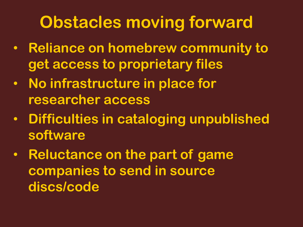# **Obstacles moving forward**

- **Reliance on homebrew community to get access to proprietary files**
- **No infrastructure in place for researcher access**
- **Difficulties in cataloging unpublished software**
- **Reluctance on the part of game companies to send in source discs/code**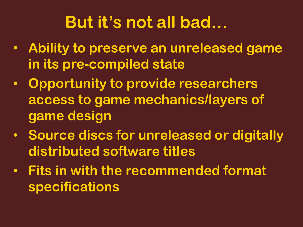# **But it's not all bad…**

- **Ability to preserve an unreleased game in its pre-compiled state**
- **Opportunity to provide researchers access to game mechanics/layers of game design**
- **Source discs for unreleased or digitally distributed software titles**
- **Fits in with the recommended format specifications**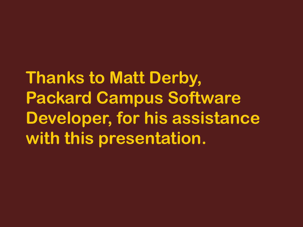**Thanks to Matt Derby, Packard Campus Software Developer, for his assistance with this presentation.**